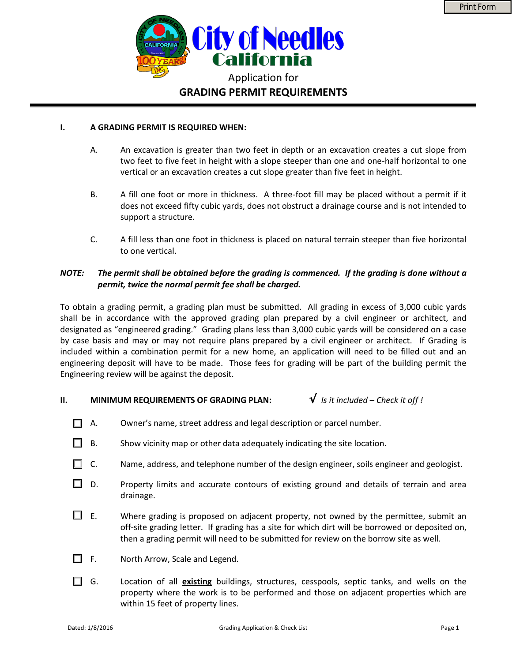

#### **I. A GRADING PERMIT IS REQUIRED WHEN:**

- A. An excavation is greater than two feet in depth or an excavation creates a cut slope from two feet to five feet in height with a slope steeper than one and one-half horizontal to one vertical or an excavation creates a cut slope greater than five feet in height.
- B. A fill one foot or more in thickness. A three-foot fill may be placed without a permit if it does not exceed fifty cubic yards, does not obstruct a drainage course and is not intended to support a structure.
- C. A fill less than one foot in thickness is placed on natural terrain steeper than five horizontal to one vertical.

### *NOTE: The permit shall be obtained before the grading is commenced. If the grading is done without a permit, twice the normal permit fee shall be charged.*

To obtain a grading permit, a grading plan must be submitted. All grading in excess of 3,000 cubic yards shall be in accordance with the approved grading plan prepared by a civil engineer or architect, and designated as "engineered grading." Grading plans less than 3,000 cubic yards will be considered on a case by case basis and may or may not require plans prepared by a civil engineer or architect. If Grading is included within a combination permit for a new home, an application will need to be filled out and an engineering deposit will have to be made. Those fees for grading will be part of the building permit the Engineering review will be against the deposit.

## **II. MINIMUM REQUIREMENTS OF GRADING PLAN:**  $\mathbf{\hat{V}}$  *Is it included – Check it off !*

- $\Box$  A. Owner's name, street address and legal description or parcel number.
- B. Show vicinity map or other data adequately indicating the site location.
- п C. Name, address, and telephone number of the design engineer, soils engineer and geologist.
- $\Box$  D. Property limits and accurate contours of existing ground and details of terrain and area drainage.
- $\Box$  E. Where grading is proposed on adjacent property, not owned by the permittee, submit an off-site grading letter. If grading has a site for which dirt will be borrowed or deposited on, then a grading permit will need to be submitted for review on the borrow site as well.
- F. North Arrow, Scale and Legend. П
- G. Location of all **existing** buildings, structures, cesspools, septic tanks, and wells on the property where the work is to be performed and those on adjacent properties which are within 15 feet of property lines.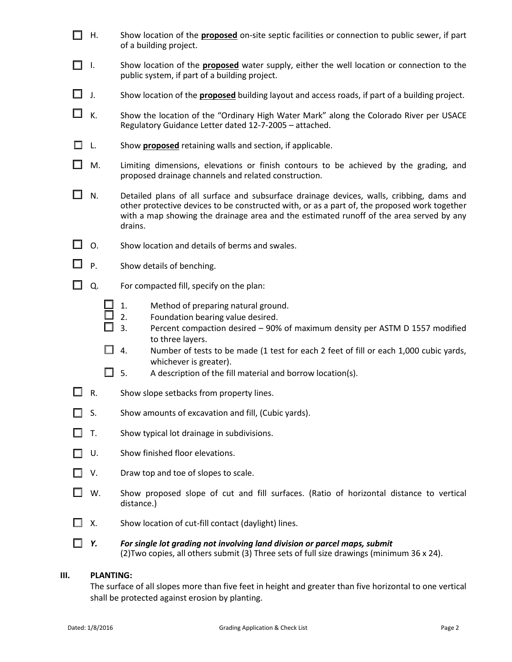- П H. Show location of the **proposed** on-site septic facilities or connection to public sewer, if part of a building project.
- П. I. Show location of the **proposed** water supply, either the well location or connection to the public system, if part of a building project.
- $\Box$ J. Show location of the **proposed** building layout and access roads, if part of a building project.
- П. K. Show the location of the "Ordinary High Water Mark" along the Colorado River per USACE Regulatory Guidance Letter dated 12-7-2005 – attached.
- L. Show **proposed** retaining walls and section, if applicable.
- П M. Limiting dimensions, elevations or finish contours to be achieved by the grading, and proposed drainage channels and related construction.
- П. N. Detailed plans of all surface and subsurface drainage devices, walls, cribbing, dams and other protective devices to be constructed with, or as a part of, the proposed work together with a map showing the drainage area and the estimated runoff of the area served by any drains.
- $\Box$  0. Show location and details of berms and swales.
- П P. Show details of benching.
- $\Box$  Q. For compacted fill, specify on the plan:
	- 1. Method of preparing natural ground.
	- 2. Foundation bearing value desired.
	- 3. Percent compaction desired 90% of maximum density per ASTM D 1557 modified to three layers.
	- $\Box$  4. Number of tests to be made (1 test for each 2 feet of fill or each 1,000 cubic yards, whichever is greater).
	- $\Box$  5. A description of the fill material and borrow location(s).
- $\Box$  R. Show slope setbacks from property lines.
- П S. Show amounts of excavation and fill, (Cubic yards).
- П T. Show typical lot drainage in subdivisions.
- П. U. Show finished floor elevations.
- $\Box$  V. Draw top and toe of slopes to scale.
- $\Box$  W. Show proposed slope of cut and fill surfaces. (Ratio of horizontal distance to vertical distance.)
- П. X. Show location of cut-fill contact (daylight) lines.
- *Y. For single lot grading not involving land division or parcel maps, submit*  (2)Two copies, all others submit (3) Three sets of full size drawings (minimum 36 x 24).

#### **III. PLANTING:**

The surface of all slopes more than five feet in height and greater than five horizontal to one vertical shall be protected against erosion by planting.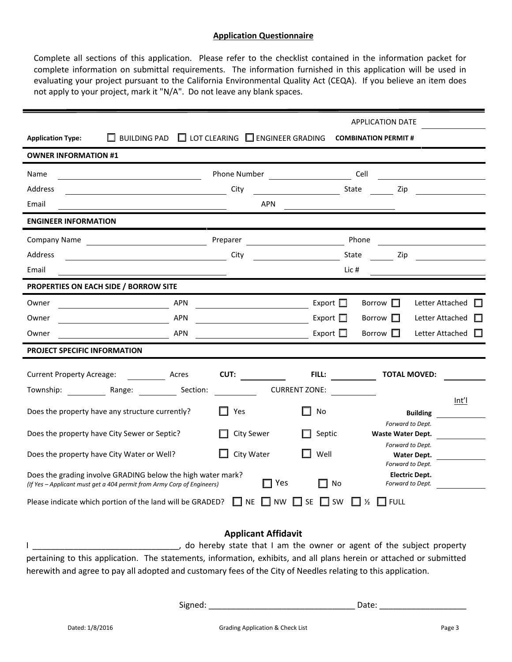#### **Application Questionnaire**

Complete all sections of this application. Please refer to the checklist contained in the information packet for complete information on submittal requirements. The information furnished in this application will be used in evaluating your project pursuant to the California Environmental Quality Act (CEQA). If you believe an item does not apply to your project, mark it "N/A". Do not leave any blank spaces.

|                                                                                                                                       |                                             |                                            | <b>APPLICATION DATE</b>                             |                          |                |
|---------------------------------------------------------------------------------------------------------------------------------------|---------------------------------------------|--------------------------------------------|-----------------------------------------------------|--------------------------|----------------|
| $\Box$ BUILDING PAD<br><b>Application Type:</b>                                                                                       | $\Box$ LOT CLEARING $\Box$ ENGINEER GRADING |                                            | <b>COMBINATION PERMIT #</b>                         |                          |                |
| <b>OWNER INFORMATION #1</b>                                                                                                           |                                             |                                            |                                                     |                          |                |
| <b>Name</b>                                                                                                                           | Phone Number                                | <u> 1990 - Johann Barbara, martin eta </u> | Cell                                                |                          |                |
| Address<br><u> 1989 - Johann Barnett, fransk politiker (d. 19</u>                                                                     | City                                        | State                                      | Zip                                                 |                          |                |
| Email                                                                                                                                 | <b>APN</b>                                  |                                            |                                                     |                          |                |
| <b>ENGINEER INFORMATION</b>                                                                                                           |                                             |                                            |                                                     |                          |                |
| <b>Company Name</b>                                                                                                                   | Preparer                                    |                                            | Phone                                               |                          |                |
| Address<br><u> 1989 - Johann Barn, fransk politik fotograf (</u>                                                                      | City                                        | State                                      | Zip                                                 |                          |                |
| Email                                                                                                                                 |                                             | Lic $#$                                    |                                                     |                          |                |
| PROPERTIES ON EACH SIDE / BORROW SITE                                                                                                 |                                             |                                            |                                                     |                          |                |
| <b>APN</b><br>Owner                                                                                                                   |                                             | Export $\square$                           | Borrow $\square$                                    | Letter Attached          |                |
| <b>APN</b><br>Owner                                                                                                                   |                                             | Export $\Box$                              | Borrow $\Box$                                       | Letter Attached          |                |
| <b>APN</b><br>Owner                                                                                                                   |                                             | Export $\square$                           | Borrow $\Box$                                       | Letter Attached          | $\mathbb{R}^n$ |
| <b>PROJECT SPECIFIC INFORMATION</b>                                                                                                   |                                             |                                            |                                                     |                          |                |
| Current Property Acreage: Acres                                                                                                       | CUT:                                        | FILL:                                      | <b>TOTAL MOVED:</b>                                 |                          |                |
| Township: Range: Section:                                                                                                             |                                             | <b>CURRENT ZONE:</b>                       |                                                     |                          |                |
| Does the property have any structure currently?                                                                                       | Yes                                         | No                                         |                                                     | Int'l<br><b>Building</b> |                |
| Does the property have City Sewer or Septic?                                                                                          | <b>City Sewer</b>                           | Septic                                     | Forward to Dept.<br>Waste Water Dept.               |                          |                |
| Does the property have City Water or Well?                                                                                            | City Water                                  | Well                                       | Forward to Dept.<br>Water Dept.<br>Forward to Dept. |                          |                |
| Does the grading involve GRADING below the high water mark?<br>(If Yes - Applicant must get a 404 permit from Army Corp of Engineers) | $\Box$ Yes                                  | No<br>H                                    | <b>Electric Dept.</b><br>Forward to Dept.           |                          |                |
| Please indicate which portion of the land will be GRADED?                                                                             | IINE                                        | SW<br><b>NW</b><br>SE                      | ⅓<br><b>FULL</b>                                    |                          |                |

### **Applicant Affidavit**

I \_\_\_\_\_\_\_\_\_\_\_\_\_\_\_\_\_\_\_\_\_\_\_\_\_\_\_\_\_\_\_\_, do hereby state that I am the owner or agent of the subject property pertaining to this application. The statements, information, exhibits, and all plans herein or attached or submitted herewith and agree to pay all adopted and customary fees of the City of Needles relating to this application.

Signed: \_\_\_\_\_\_\_\_\_\_\_\_\_\_\_\_\_\_\_\_\_\_\_\_\_\_\_\_\_\_\_\_ Date: \_\_\_\_\_\_\_\_\_\_\_\_\_\_\_\_\_\_\_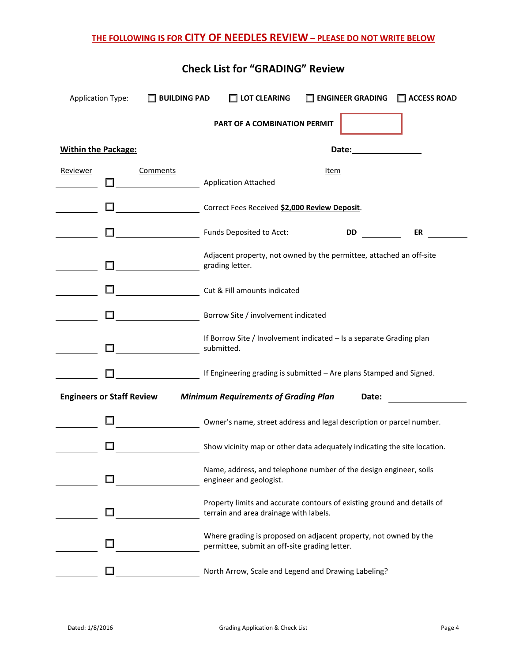# **THE FOLLOWING IS FOR CITY OF NEEDLES REVIEW – PLEASE DO NOT WRITE BELOW**

| <b>Application Type:</b>         | <b>BUILDING PAD</b> | $\Box$ LOT CLEARING                                                                                               |      | $\Box$ ENGINEER GRADING | $\Box$ ACCESS ROAD |
|----------------------------------|---------------------|-------------------------------------------------------------------------------------------------------------------|------|-------------------------|--------------------|
|                                  |                     | PART OF A COMBINATION PERMIT                                                                                      |      |                         |                    |
| <b>Within the Package:</b>       |                     |                                                                                                                   |      | Date:                   |                    |
| Reviewer                         | <b>Comments</b>     | <b>Application Attached</b>                                                                                       | Item |                         |                    |
|                                  |                     | Correct Fees Received \$2,000 Review Deposit.                                                                     |      |                         |                    |
|                                  |                     | Funds Deposited to Acct:                                                                                          |      | <b>DD</b>               | ER                 |
|                                  |                     | Adjacent property, not owned by the permittee, attached an off-site<br>grading letter.                            |      |                         |                    |
|                                  |                     | Cut & Fill amounts indicated                                                                                      |      |                         |                    |
|                                  |                     | Borrow Site / involvement indicated                                                                               |      |                         |                    |
|                                  |                     | If Borrow Site / Involvement indicated - Is a separate Grading plan<br>submitted.                                 |      |                         |                    |
|                                  |                     | If Engineering grading is submitted - Are plans Stamped and Signed.                                               |      |                         |                    |
| <b>Engineers or Staff Review</b> |                     | <b>Minimum Requirements of Grading Plan</b>                                                                       |      | Date:                   |                    |
|                                  |                     | Owner's name, street address and legal description or parcel number.                                              |      |                         |                    |
|                                  |                     | Show vicinity map or other data adequately indicating the site location.                                          |      |                         |                    |
|                                  |                     | Name, address, and telephone number of the design engineer, soils<br>engineer and geologist.                      |      |                         |                    |
|                                  |                     | Property limits and accurate contours of existing ground and details of<br>terrain and area drainage with labels. |      |                         |                    |
|                                  |                     | Where grading is proposed on adjacent property, not owned by the<br>permittee, submit an off-site grading letter. |      |                         |                    |
|                                  |                     | North Arrow, Scale and Legend and Drawing Labeling?                                                               |      |                         |                    |

# **Check List for "GRADING" Review**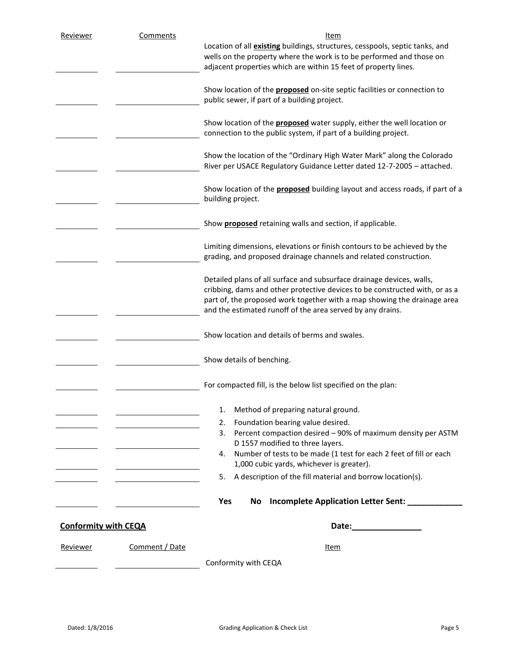| Reviewer                    | <b>Comments</b> | Item                                                                                                                                                 |  |  |  |  |
|-----------------------------|-----------------|------------------------------------------------------------------------------------------------------------------------------------------------------|--|--|--|--|
|                             |                 | Location of all <b>existing</b> buildings, structures, cesspools, septic tanks, and                                                                  |  |  |  |  |
|                             |                 | wells on the property where the work is to be performed and those on                                                                                 |  |  |  |  |
|                             |                 | adjacent properties which are within 15 feet of property lines.                                                                                      |  |  |  |  |
|                             |                 |                                                                                                                                                      |  |  |  |  |
|                             |                 | Show location of the <b>proposed</b> on-site septic facilities or connection to<br>public sewer, if part of a building project.                      |  |  |  |  |
|                             |                 |                                                                                                                                                      |  |  |  |  |
|                             |                 | Show location of the <b>proposed</b> water supply, either the well location or                                                                       |  |  |  |  |
|                             |                 | connection to the public system, if part of a building project.                                                                                      |  |  |  |  |
|                             |                 |                                                                                                                                                      |  |  |  |  |
|                             |                 | Show the location of the "Ordinary High Water Mark" along the Colorado                                                                               |  |  |  |  |
|                             |                 | River per USACE Regulatory Guidance Letter dated 12-7-2005 - attached.                                                                               |  |  |  |  |
|                             |                 |                                                                                                                                                      |  |  |  |  |
|                             |                 | Show location of the <b>proposed</b> building layout and access roads, if part of a<br>building project.                                             |  |  |  |  |
|                             |                 |                                                                                                                                                      |  |  |  |  |
|                             |                 | Show <b>proposed</b> retaining walls and section, if applicable.                                                                                     |  |  |  |  |
|                             |                 |                                                                                                                                                      |  |  |  |  |
|                             |                 | Limiting dimensions, elevations or finish contours to be achieved by the                                                                             |  |  |  |  |
|                             |                 | grading, and proposed drainage channels and related construction.                                                                                    |  |  |  |  |
|                             |                 |                                                                                                                                                      |  |  |  |  |
|                             |                 | Detailed plans of all surface and subsurface drainage devices, walls,<br>cribbing, dams and other protective devices to be constructed with, or as a |  |  |  |  |
|                             |                 |                                                                                                                                                      |  |  |  |  |
|                             |                 | part of, the proposed work together with a map showing the drainage area<br>and the estimated runoff of the area served by any drains.               |  |  |  |  |
|                             |                 |                                                                                                                                                      |  |  |  |  |
|                             |                 | Show location and details of berms and swales.                                                                                                       |  |  |  |  |
|                             |                 |                                                                                                                                                      |  |  |  |  |
|                             |                 | Show details of benching.                                                                                                                            |  |  |  |  |
|                             |                 |                                                                                                                                                      |  |  |  |  |
|                             |                 | For compacted fill, is the below list specified on the plan:                                                                                         |  |  |  |  |
|                             |                 |                                                                                                                                                      |  |  |  |  |
|                             |                 | Method of preparing natural ground.<br>1.                                                                                                            |  |  |  |  |
|                             |                 | Foundation bearing value desired.<br>2.                                                                                                              |  |  |  |  |
|                             |                 | Percent compaction desired - 90% of maximum density per ASTM<br>3.                                                                                   |  |  |  |  |
|                             |                 | D 1557 modified to three layers.                                                                                                                     |  |  |  |  |
|                             |                 | Number of tests to be made (1 test for each 2 feet of fill or each<br>4.                                                                             |  |  |  |  |
|                             |                 | 1,000 cubic yards, whichever is greater).                                                                                                            |  |  |  |  |
|                             |                 | A description of the fill material and borrow location(s).<br>5.                                                                                     |  |  |  |  |
|                             |                 |                                                                                                                                                      |  |  |  |  |
|                             |                 | Yes<br>Incomplete Application Letter Sent: ____<br>No                                                                                                |  |  |  |  |
|                             |                 |                                                                                                                                                      |  |  |  |  |
| <b>Conformity with CEQA</b> |                 |                                                                                                                                                      |  |  |  |  |
| Reviewer                    | Comment / Date  | Item                                                                                                                                                 |  |  |  |  |
|                             |                 |                                                                                                                                                      |  |  |  |  |
|                             |                 | Conformity with CEQA                                                                                                                                 |  |  |  |  |